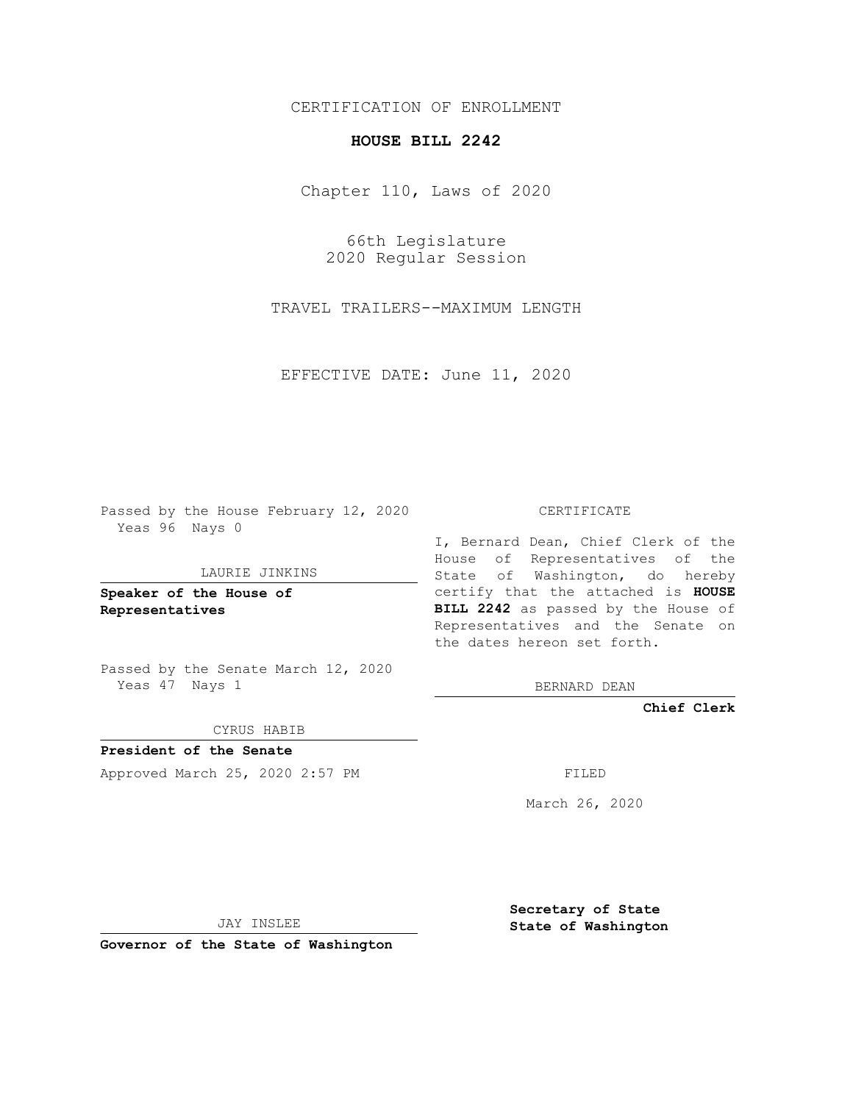## CERTIFICATION OF ENROLLMENT

# **HOUSE BILL 2242**

Chapter 110, Laws of 2020

66th Legislature 2020 Regular Session

TRAVEL TRAILERS--MAXIMUM LENGTH

EFFECTIVE DATE: June 11, 2020

Passed by the House February 12, 2020 Yeas 96 Nays 0

#### LAURIE JINKINS

**Speaker of the House of Representatives**

Passed by the Senate March 12, 2020 Yeas 47 Nays 1

#### CYRUS HABIB

**President of the Senate** Approved March 25, 2020 2:57 PM FILED

#### CERTIFICATE

I, Bernard Dean, Chief Clerk of the House of Representatives of the State of Washington, do hereby certify that the attached is **HOUSE BILL 2242** as passed by the House of Representatives and the Senate on the dates hereon set forth.

BERNARD DEAN

**Chief Clerk**

March 26, 2020

JAY INSLEE

**Governor of the State of Washington**

**Secretary of State State of Washington**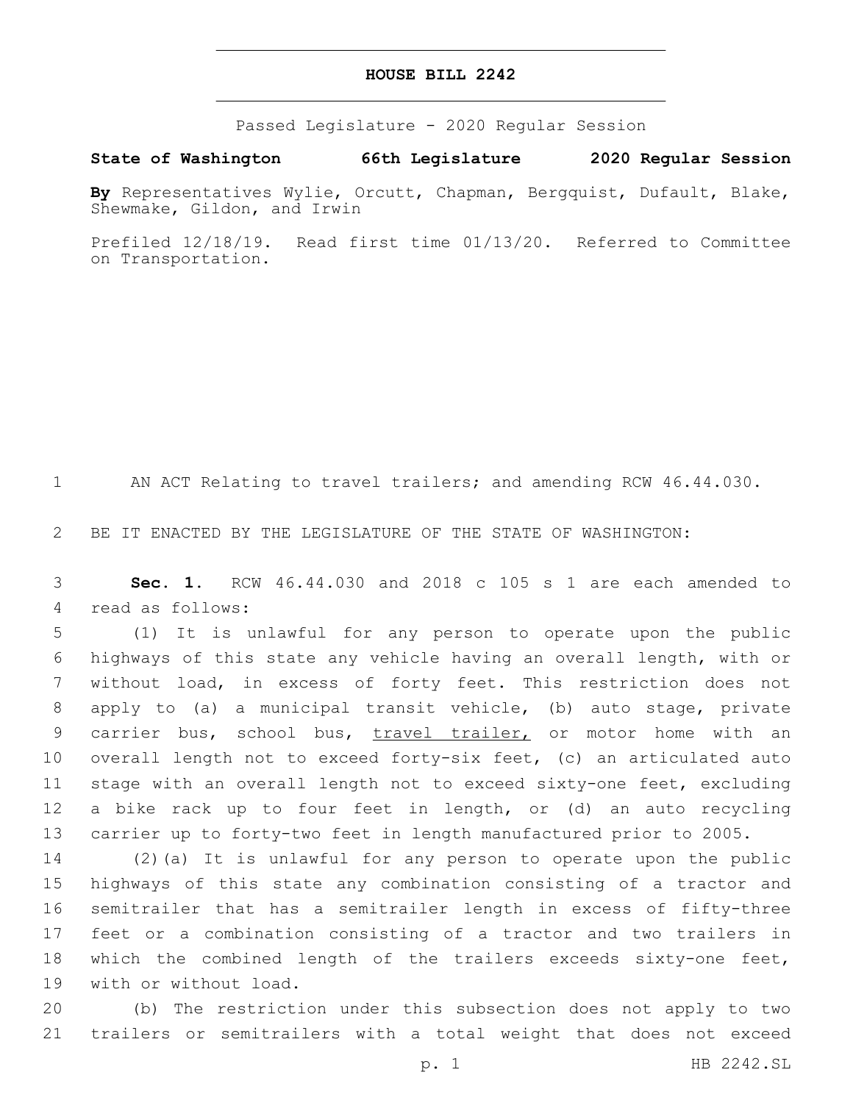### **HOUSE BILL 2242**

Passed Legislature - 2020 Regular Session

**State of Washington 66th Legislature 2020 Regular Session**

**By** Representatives Wylie, Orcutt, Chapman, Bergquist, Dufault, Blake, Shewmake, Gildon, and Irwin

Prefiled 12/18/19. Read first time 01/13/20. Referred to Committee on Transportation.

AN ACT Relating to travel trailers; and amending RCW 46.44.030.

BE IT ENACTED BY THE LEGISLATURE OF THE STATE OF WASHINGTON:

 **Sec. 1.** RCW 46.44.030 and 2018 c 105 s 1 are each amended to 4 read as follows:

 (1) It is unlawful for any person to operate upon the public highways of this state any vehicle having an overall length, with or without load, in excess of forty feet. This restriction does not apply to (a) a municipal transit vehicle, (b) auto stage, private 9 carrier bus, school bus, travel trailer, or motor home with an overall length not to exceed forty-six feet, (c) an articulated auto stage with an overall length not to exceed sixty-one feet, excluding a bike rack up to four feet in length, or (d) an auto recycling carrier up to forty-two feet in length manufactured prior to 2005.

 (2)(a) It is unlawful for any person to operate upon the public highways of this state any combination consisting of a tractor and semitrailer that has a semitrailer length in excess of fifty-three feet or a combination consisting of a tractor and two trailers in which the combined length of the trailers exceeds sixty-one feet, 19 with or without load.

 (b) The restriction under this subsection does not apply to two trailers or semitrailers with a total weight that does not exceed